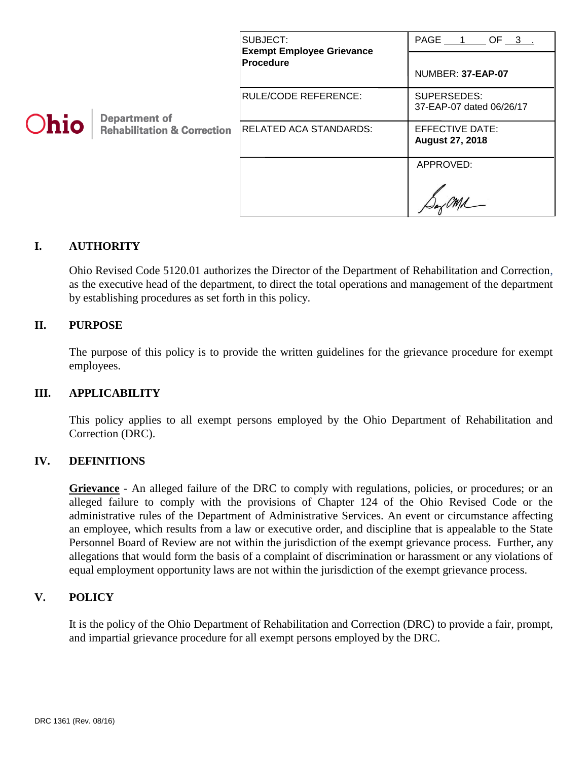| <b>Ohio</b> | <b>Department of</b><br><b>Rehabilitation &amp; Correction</b> | SUBJECT:<br><b>Exempt Employee Grievance</b><br><b>Procedure</b> | PAGE 1 OF 3 .<br>NUMBER: 37-EAP-07        |
|-------------|----------------------------------------------------------------|------------------------------------------------------------------|-------------------------------------------|
|             |                                                                | RULE/CODE REFERENCE:                                             | SUPERSEDES:<br>37-EAP-07 dated 06/26/17   |
|             |                                                                | <b>RELATED ACA STANDARDS:</b>                                    | EFFECTIVE DATE:<br><b>August 27, 2018</b> |
|             |                                                                |                                                                  | APPROVED:                                 |

# **I. AUTHORITY**

Ohio Revised Code 5120.01 authorizes the Director of the Department of Rehabilitation and Correction, as the executive head of the department, to direct the total operations and management of the department by establishing procedures as set forth in this policy.

## **II. PURPOSE**

The purpose of this policy is to provide the written guidelines for the grievance procedure for exempt employees.

#### **III. APPLICABILITY**

This policy applies to all exempt persons employed by the Ohio Department of Rehabilitation and Correction (DRC).

#### **IV. DEFINITIONS**

**Grievance** - An alleged failure of the DRC to comply with regulations, policies, or procedures; or an alleged failure to comply with the provisions of Chapter 124 of the Ohio Revised Code or the administrative rules of the Department of Administrative Services. An event or circumstance affecting an employee, which results from a law or executive order, and discipline that is appealable to the State Personnel Board of Review are not within the jurisdiction of the exempt grievance process. Further, any allegations that would form the basis of a complaint of discrimination or harassment or any violations of equal employment opportunity laws are not within the jurisdiction of the exempt grievance process.

# **V. POLICY**

It is the policy of the Ohio Department of Rehabilitation and Correction (DRC) to provide a fair, prompt, and impartial grievance procedure for all exempt persons employed by the DRC.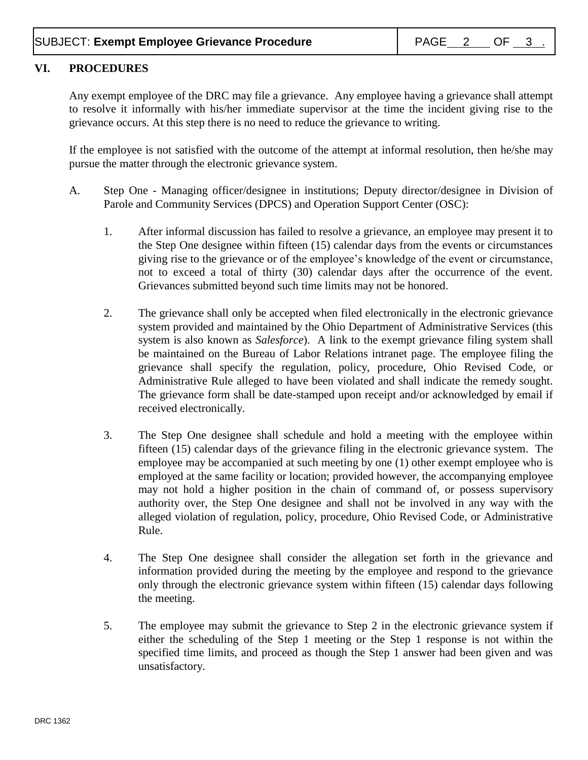## **VI. PROCEDURES**

Any exempt employee of the DRC may file a grievance. Any employee having a grievance shall attempt to resolve it informally with his/her immediate supervisor at the time the incident giving rise to the grievance occurs. At this step there is no need to reduce the grievance to writing.

If the employee is not satisfied with the outcome of the attempt at informal resolution, then he/she may pursue the matter through the electronic grievance system.

- A. Step One Managing officer/designee in institutions; Deputy director/designee in Division of Parole and Community Services (DPCS) and Operation Support Center (OSC):
	- 1. After informal discussion has failed to resolve a grievance, an employee may present it to the Step One designee within fifteen (15) calendar days from the events or circumstances giving rise to the grievance or of the employee's knowledge of the event or circumstance, not to exceed a total of thirty (30) calendar days after the occurrence of the event. Grievances submitted beyond such time limits may not be honored.
	- 2. The grievance shall only be accepted when filed electronically in the electronic grievance system provided and maintained by the Ohio Department of Administrative Services (this system is also known as *Salesforce*). A link to the exempt grievance filing system shall be maintained on the Bureau of Labor Relations intranet page. The employee filing the grievance shall specify the regulation, policy, procedure, Ohio Revised Code, or Administrative Rule alleged to have been violated and shall indicate the remedy sought. The grievance form shall be date-stamped upon receipt and/or acknowledged by email if received electronically.
	- 3. The Step One designee shall schedule and hold a meeting with the employee within fifteen (15) calendar days of the grievance filing in the electronic grievance system. The employee may be accompanied at such meeting by one (1) other exempt employee who is employed at the same facility or location; provided however, the accompanying employee may not hold a higher position in the chain of command of, or possess supervisory authority over, the Step One designee and shall not be involved in any way with the alleged violation of regulation, policy, procedure, Ohio Revised Code, or Administrative Rule.
	- 4. The Step One designee shall consider the allegation set forth in the grievance and information provided during the meeting by the employee and respond to the grievance only through the electronic grievance system within fifteen (15) calendar days following the meeting.
	- 5. The employee may submit the grievance to Step 2 in the electronic grievance system if either the scheduling of the Step 1 meeting or the Step 1 response is not within the specified time limits, and proceed as though the Step 1 answer had been given and was unsatisfactory.